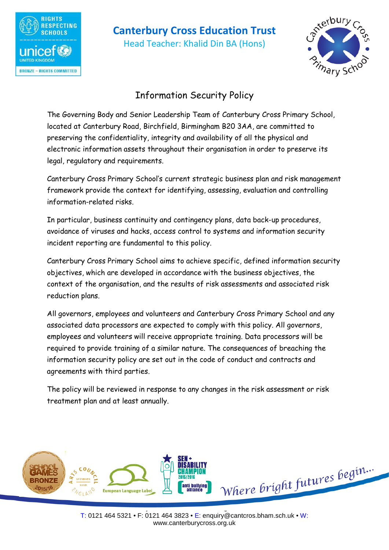

# **Canterbury Cross Education Trust**

Head Teacher: Khalid Din BA (Hons)



# Information Security Policy

The Governing Body and Senior Leadership Team of Canterbury Cross Primary School, located at Canterbury Road, Birchfield, Birmingham B20 3AA, are committed to preserving the confidentiality, integrity and availability of all the physical and electronic information assets throughout their organisation in order to preserve its legal, regulatory and requirements.

Canterbury Cross Primary School's current strategic business plan and risk management framework provide the context for identifying, assessing, evaluation and controlling information-related risks.

In particular, business continuity and contingency plans, data back-up procedures, avoidance of viruses and hacks, access control to systems and information security incident reporting are fundamental to this policy.

Canterbury Cross Primary School aims to achieve specific, defined information security objectives, which are developed in accordance with the business objectives, the context of the organisation, and the results of risk assessments and associated risk reduction plans.

All governors, employees and volunteers and Canterbury Cross Primary School and any associated data processors are expected to comply with this policy. All governors, employees and volunteers will receive appropriate training. Data processors will be required to provide training of a similar nature. The consequences of breaching the information security policy are set out in the code of conduct and contracts and agreements with third parties.

The policy will be reviewed in response to any changes in the risk assessment or risk treatment plan and at least annually.

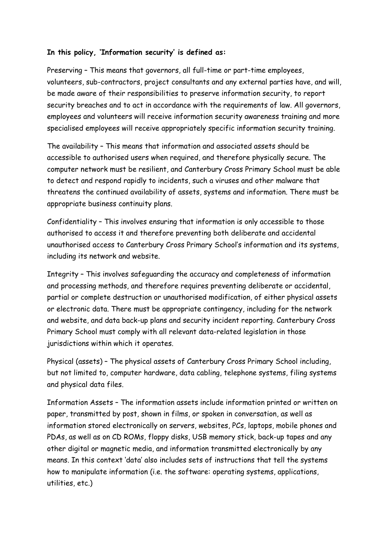### **In this policy, 'Information security' is defined as:**

Preserving – This means that governors, all full-time or part-time employees, volunteers, sub-contractors, project consultants and any external parties have, and will, be made aware of their responsibilities to preserve information security, to report security breaches and to act in accordance with the requirements of law. All governors, employees and volunteers will receive information security awareness training and more specialised employees will receive appropriately specific information security training.

The availability – This means that information and associated assets should be accessible to authorised users when required, and therefore physically secure. The computer network must be resilient, and Canterbury Cross Primary School must be able to detect and respond rapidly to incidents, such a viruses and other malware that threatens the continued availability of assets, systems and information. There must be appropriate business continuity plans.

Confidentiality – This involves ensuring that information is only accessible to those authorised to access it and therefore preventing both deliberate and accidental unauthorised access to Canterbury Cross Primary School's information and its systems, including its network and website.

Integrity – This involves safeguarding the accuracy and completeness of information and processing methods, and therefore requires preventing deliberate or accidental, partial or complete destruction or unauthorised modification, of either physical assets or electronic data. There must be appropriate contingency, including for the network and website, and data back-up plans and security incident reporting. Canterbury Cross Primary School must comply with all relevant data-related legislation in those jurisdictions within which it operates.

Physical (assets) – The physical assets of Canterbury Cross Primary School including, but not limited to, computer hardware, data cabling, telephone systems, filing systems and physical data files.

Information Assets – The information assets include information printed or written on paper, transmitted by post, shown in films, or spoken in conversation, as well as information stored electronically on servers, websites, PCs, laptops, mobile phones and PDAs, as well as on CD ROMs, floppy disks, USB memory stick, back-up tapes and any other digital or magnetic media, and information transmitted electronically by any means. In this context 'data' also includes sets of instructions that tell the systems how to manipulate information (i.e. the software: operating systems, applications, utilities, etc.)